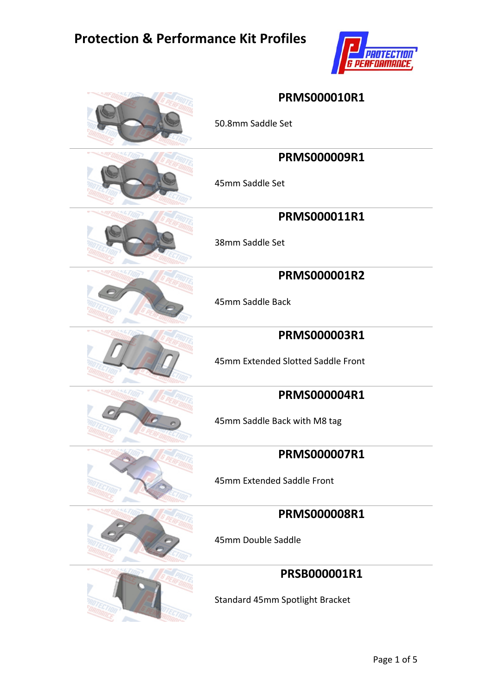

| <b>PRMS000010R1</b><br>50.8mm Saddle Set            |
|-----------------------------------------------------|
| <b>PRMS000009R1</b><br>45mm Saddle Set              |
| PRMS000011R1<br>38mm Saddle Set                     |
| <b>PRMS000001R2</b><br>45mm Saddle Back             |
| PRMS000003R1<br>45mm Extended Slotted Saddle Front  |
| <b>PRMS000004R1</b><br>45mm Saddle Back with M8 tag |
| <b>PRMS000007R1</b><br>45mm Extended Saddle Front   |
| <b>PRMS000008R1</b><br>45mm Double Saddle           |
| PRSB000001R1<br>Standard 45mm Spotlight Bracket     |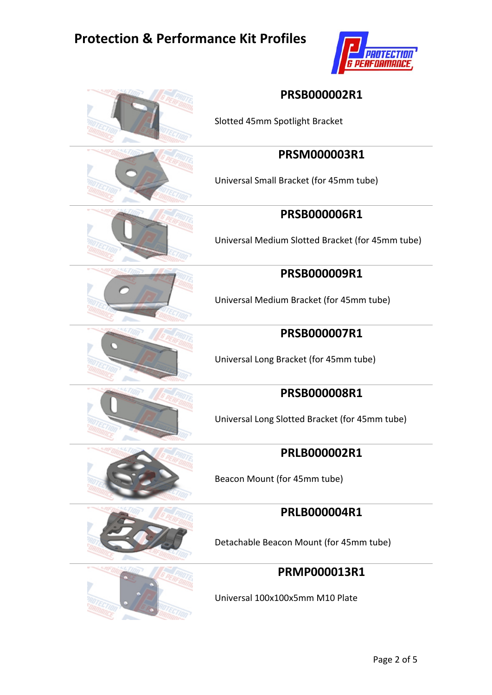

| <b>PRSB000002R1</b><br>Slotted 45mm Spotlight Bracket                   |
|-------------------------------------------------------------------------|
| PRSM000003R1<br>Universal Small Bracket (for 45mm tube)                 |
| <b>PRSB000006R1</b><br>Universal Medium Slotted Bracket (for 45mm tube) |
| <b>PRSB000009R1</b><br>Universal Medium Bracket (for 45mm tube)         |
| <b>PRSB000007R1</b><br>Universal Long Bracket (for 45mm tube)           |
| <b>PRSB000008R1</b><br>Universal Long Slotted Bracket (for 45mm tube)   |
| <b>PRLB000002R1</b><br>Beacon Mount (for 45mm tube)                     |
| <b>PRLB000004R1</b><br>Detachable Beacon Mount (for 45mm tube)          |
| <b>PRMP000013R1</b><br>Universal 100x100x5mm M10 Plate                  |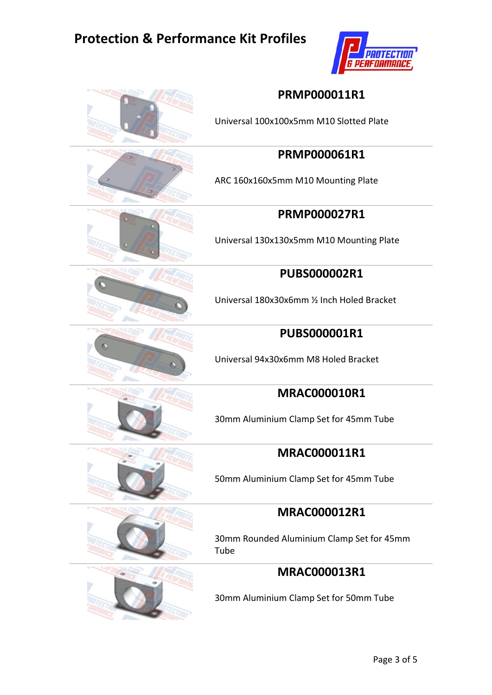

|  | <b>PRMP000011R1</b><br>Universal 100x100x5mm M10 Slotted Plate |
|--|----------------------------------------------------------------|
|  | <b>PRMP000061R1</b>                                            |
|  | ARC 160x160x5mm M10 Mounting Plate                             |
|  | <b>PRMP000027R1</b>                                            |
|  | Universal 130x130x5mm M10 Mounting Plate                       |
|  | <b>PUBS000002R1</b>                                            |
|  | Universal 180x30x6mm 1/2 Inch Holed Bracket                    |
|  | <b>PUBS000001R1</b>                                            |
|  | Universal 94x30x6mm M8 Holed Bracket                           |
|  | <b>MRAC000010R1</b>                                            |
|  | 30mm Aluminium Clamp Set for 45mm Tube                         |
|  | <b>MRAC000011R1</b>                                            |
|  | 50mm Aluminium Clamp Set for 45mm Tube                         |
|  | <b>MRAC000012R1</b>                                            |
|  | 30mm Rounded Aluminium Clamp Set for 45mm<br>Tube              |
|  | <b>MRAC000013R1</b>                                            |
|  | 30mm Aluminium Clamp Set for 50mm Tube                         |
|  |                                                                |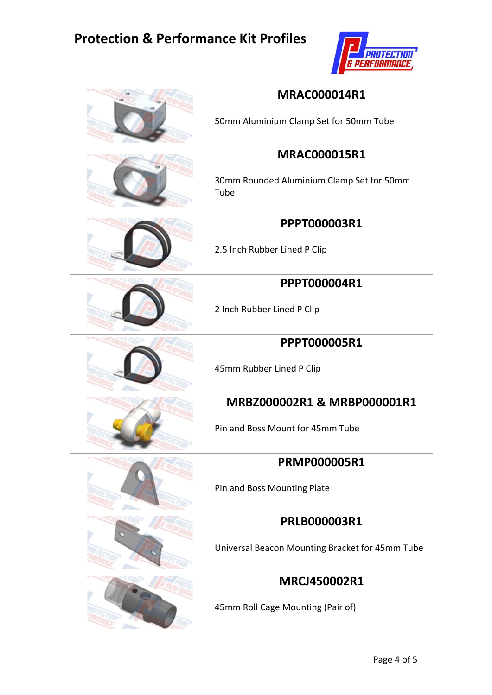